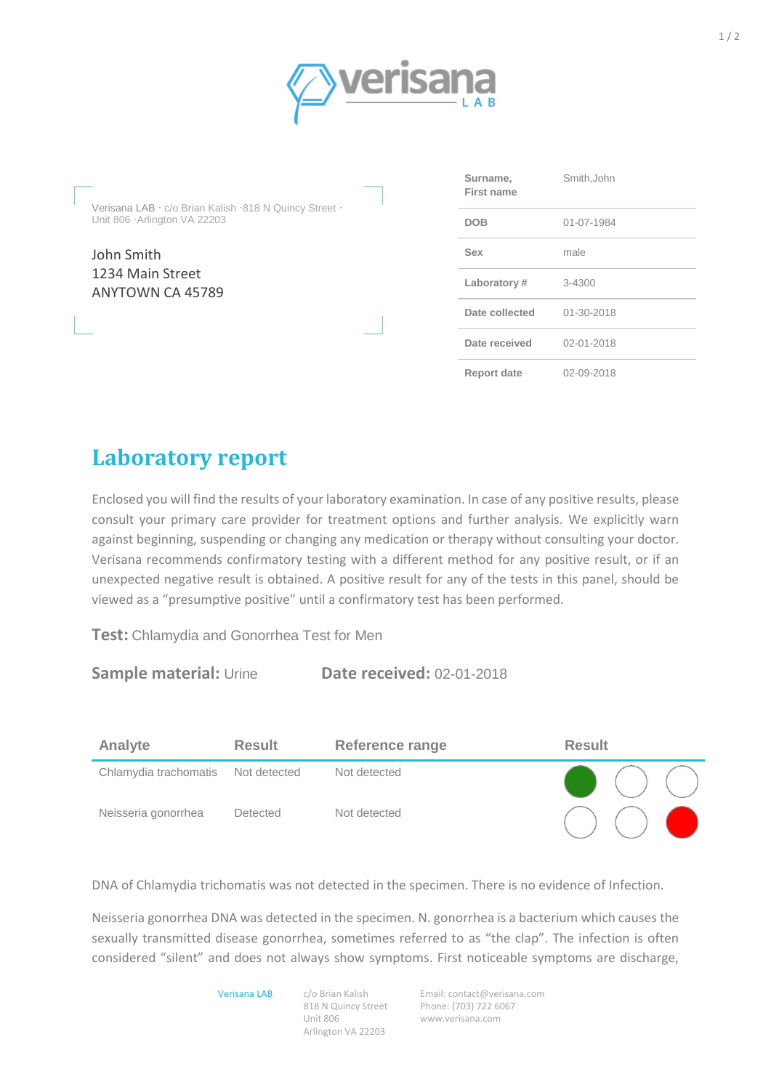

Verisana LAB · c/o Brian Kalish ·818 N Quincy Street · Unit 806 ·Arlington VA 22203

John Smith 1234 Main Street ANYTOWN CA 45789

| Surname,<br>First name | Smith, John      |
|------------------------|------------------|
| <b>DOB</b>             | 01-07-1984       |
| Sex                    | male             |
| Laboratory#            | 3-4300           |
| Date collected         | $01 - 30 - 2018$ |
| Date received          | 02-01-2018       |
| <b>Report date</b>     | 02-09-2018       |

## **Laboratory report**

Enclosed you will find the results of your laboratory examination. In case of any positive results, please consult your primary care provider for treatment options and further analysis. We explicitly warn against beginning, suspending or changing any medication or therapy without consulting your doctor. Verisana recommends confirmatory testing with a different method for any positive result, or if an unexpected negative result is obtained. A positive result for any of the tests in this panel, should be viewed as a "presumptive positive" until a confirmatory test has been performed.

**Test:** Chlamydia and Gonorrhea Test for Men

## **Sample material:** Urine **Date received:** 02-01-2018

| Analyte               | <b>Result</b>   | <b>Reference range</b> | <b>Result</b>                    |
|-----------------------|-----------------|------------------------|----------------------------------|
| Chlamydia trachomatis | Not detected    | Not detected           | $\bigodot$ ( ) ( )               |
| Neisseria gonorrhea   | <b>Detected</b> | Not detected           | $\bigcirc$ $\bigcirc$ $\bigcirc$ |

DNA of Chlamydia trichomatis was not detected in the specimen. There is no evidence of Infection.

Neisseria gonorrhea DNA was detected in the specimen. N. gonorrhea is a bacterium which causes the sexually transmitted disease gonorrhea, sometimes referred to as "the clap". The infection is often considered "silent" and does not always show symptoms. First noticeable symptoms are discharge,

Verisana LAB c/o Brian Kalish

818 N Quincy Street Unit 806 Arlington VA 22203

Email[: contact@verisana.com](mailto:contact@verisana.com) Phone: (703) 722 6067 www.verisana.com